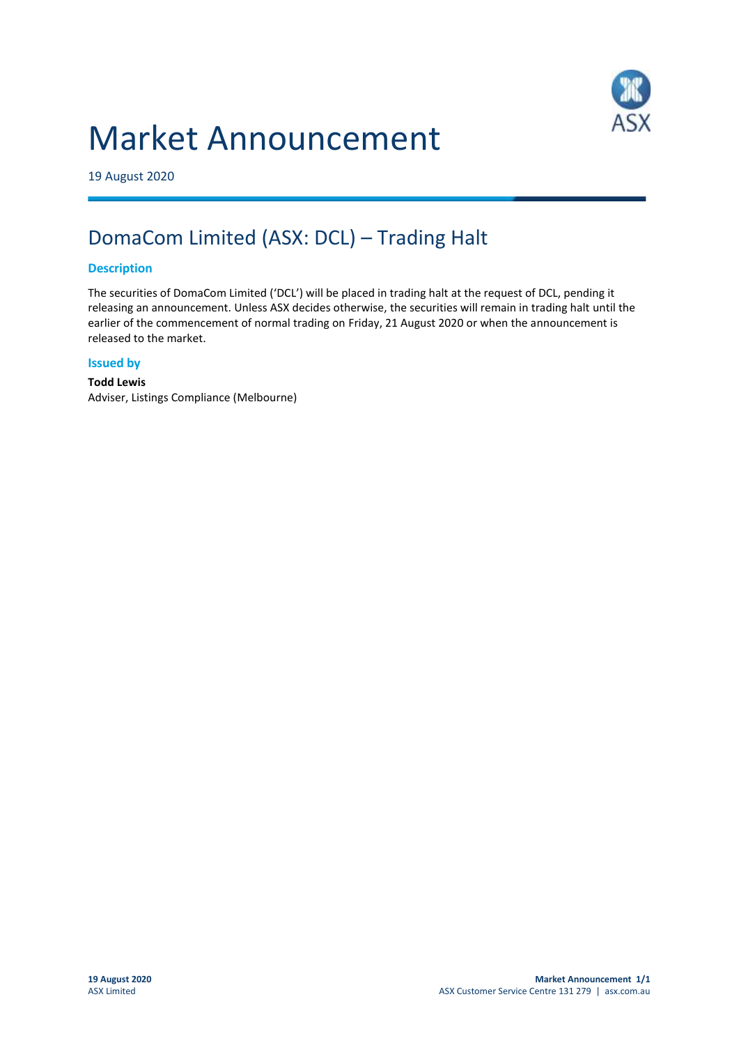# Market Announcement



19 August 2020

## DomaCom Limited (ASX: DCL) – Trading Halt

#### **Description**

The securities of DomaCom Limited ('DCL') will be placed in trading halt at the request of DCL, pending it releasing an announcement. Unless ASX decides otherwise, the securities will remain in trading halt until the earlier of the commencement of normal trading on Friday, 21 August 2020 or when the announcement is released to the market.

#### **Issued by**

**Todd Lewis** Adviser, Listings Compliance (Melbourne)